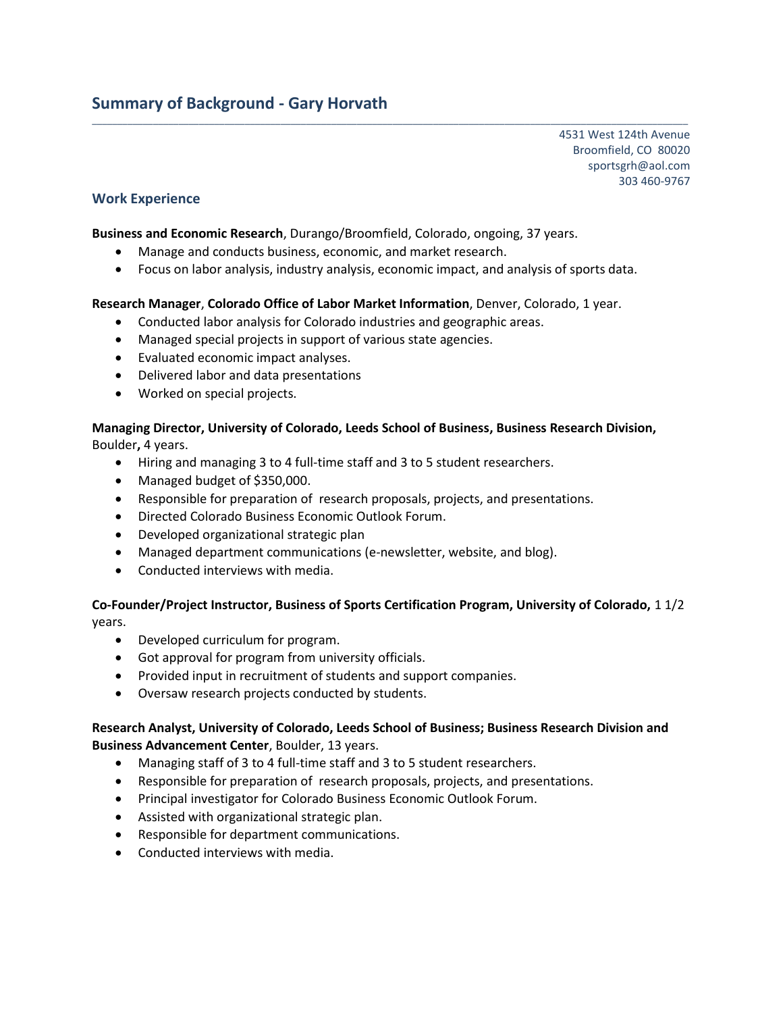# **Summary of Background - Gary Horvath**

4531 West 124th Avenue Broomfield, CO 80020 sportsgrh@aol.com 303 460-9767

## **Work Experience**

**Business and Economic Research**, Durango/Broomfield, Colorado, ongoing, 37 years.

- Manage and conducts business, economic, and market research.
- Focus on labor analysis, industry analysis, economic impact, and analysis of sports data.

\_\_\_\_\_\_\_\_\_\_\_\_\_\_\_\_\_\_\_\_\_\_\_\_\_\_\_\_\_\_\_\_\_\_\_\_\_\_\_\_\_\_\_\_\_\_\_\_\_\_\_\_\_\_\_\_\_\_\_\_\_\_\_\_\_\_\_\_\_\_\_\_\_\_\_\_\_\_\_\_\_\_\_\_\_\_\_\_\_\_\_\_\_\_\_\_\_\_\_\_\_\_\_\_\_\_\_\_\_\_\_\_\_\_\_\_\_

#### **Research Manager**, **Colorado Office of Labor Market Information**, Denver, Colorado, 1 year.

- Conducted labor analysis for Colorado industries and geographic areas.
- Managed special projects in support of various state agencies.
- Evaluated economic impact analyses.
- Delivered labor and data presentations
- Worked on special projects.

#### **Managing Director, University of Colorado, Leeds School of Business, Business Research Division,**  Boulder**,** 4 years.

- Hiring and managing 3 to 4 full-time staff and 3 to 5 student researchers.
- Managed budget of \$350,000.
- Responsible for preparation of research proposals, projects, and presentations.
- Directed Colorado Business Economic Outlook Forum.
- Developed organizational strategic plan
- Managed department communications (e-newsletter, website, and blog).
- Conducted interviews with media.

## **Co-Founder/Project Instructor, Business of Sports Certification Program, University of Colorado,** 1 1/2 years.

- Developed curriculum for program.
- Got approval for program from university officials.
- Provided input in recruitment of students and support companies.
- Oversaw research projects conducted by students.

## **Research Analyst, University of Colorado, Leeds School of Business; Business Research Division and Business Advancement Center**, Boulder, 13 years.

- Managing staff of 3 to 4 full-time staff and 3 to 5 student researchers.
- Responsible for preparation of research proposals, projects, and presentations.
- Principal investigator for Colorado Business Economic Outlook Forum.
- Assisted with organizational strategic plan.
- Responsible for department communications.
- Conducted interviews with media.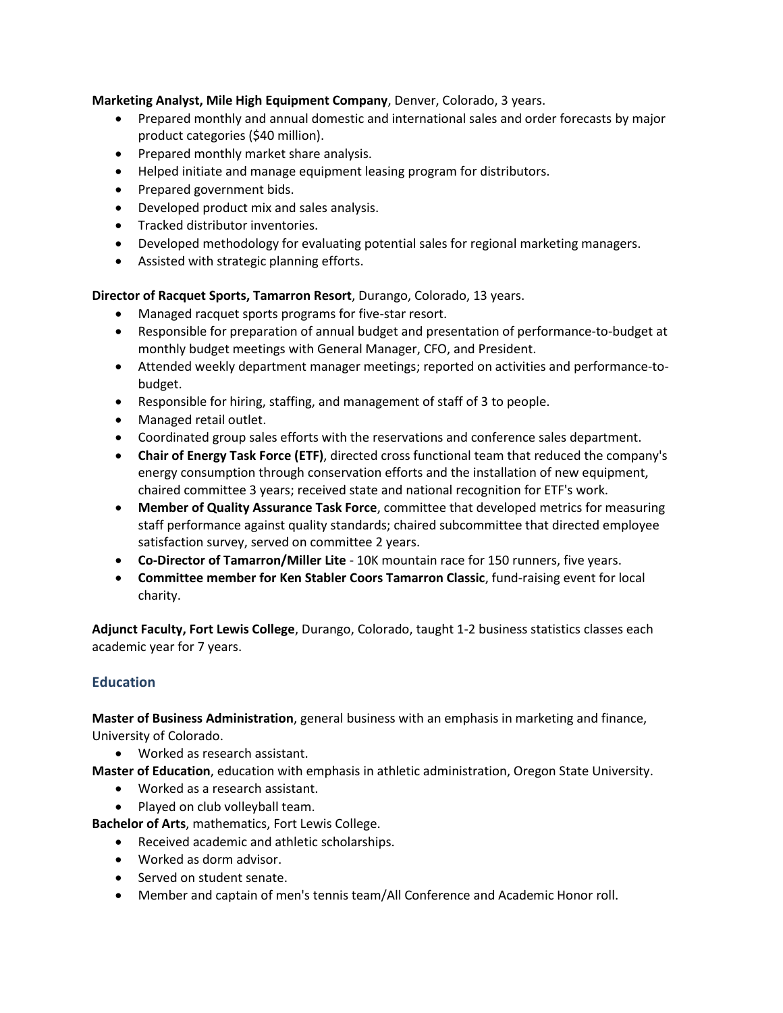## **Marketing Analyst, Mile High Equipment Company**, Denver, Colorado, 3 years.

- Prepared monthly and annual domestic and international sales and order forecasts by major product categories (\$40 million).
- Prepared monthly market share analysis.
- Helped initiate and manage equipment leasing program for distributors.
- Prepared government bids.
- Developed product mix and sales analysis.
- **•** Tracked distributor inventories.
- Developed methodology for evaluating potential sales for regional marketing managers.
- Assisted with strategic planning efforts.

## **Director of Racquet Sports, Tamarron Resort**, Durango, Colorado, 13 years.

- Managed racquet sports programs for five-star resort.
- Responsible for preparation of annual budget and presentation of performance-to-budget at monthly budget meetings with General Manager, CFO, and President.
- Attended weekly department manager meetings; reported on activities and performance-tobudget.
- Responsible for hiring, staffing, and management of staff of 3 to people.
- Managed retail outlet.
- Coordinated group sales efforts with the reservations and conference sales department.
- **Chair of Energy Task Force (ETF)**, directed cross functional team that reduced the company's energy consumption through conservation efforts and the installation of new equipment, chaired committee 3 years; received state and national recognition for ETF's work.
- **Member of Quality Assurance Task Force**, committee that developed metrics for measuring staff performance against quality standards; chaired subcommittee that directed employee satisfaction survey, served on committee 2 years.
- **Co-Director of Tamarron/Miller Lite** 10K mountain race for 150 runners, five years.
- **Committee member for Ken Stabler Coors Tamarron Classic**, fund-raising event for local charity.

**Adjunct Faculty, Fort Lewis College**, Durango, Colorado, taught 1-2 business statistics classes each academic year for 7 years.

## **Education**

**Master of Business Administration**, general business with an emphasis in marketing and finance, University of Colorado.

Worked as research assistant.

**Master of Education**, education with emphasis in athletic administration, Oregon State University.

- Worked as a research assistant.
- Played on club volleyball team.

**Bachelor of Arts**, mathematics, Fort Lewis College.

- Received academic and athletic scholarships.
- Worked as dorm advisor.
- Served on student senate.
- Member and captain of men's tennis team/All Conference and Academic Honor roll.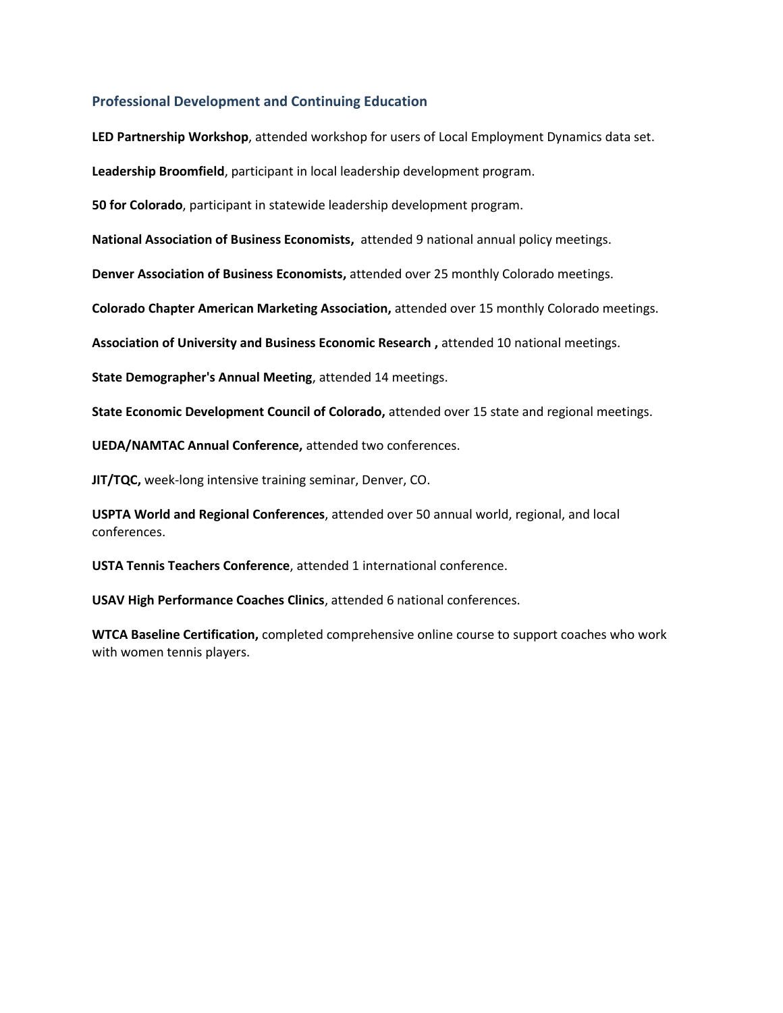### **Professional Development and Continuing Education**

**LED Partnership Workshop**, attended workshop for users of Local Employment Dynamics data set.

**Leadership Broomfield**, participant in local leadership development program.

**50 for Colorado**, participant in statewide leadership development program.

**National Association of Business Economists,** attended 9 national annual policy meetings.

**Denver Association of Business Economists,** attended over 25 monthly Colorado meetings.

**Colorado Chapter American Marketing Association,** attended over 15 monthly Colorado meetings.

**Association of University and Business Economic Research ,** attended 10 national meetings.

**State Demographer's Annual Meeting**, attended 14 meetings.

**State Economic Development Council of Colorado,** attended over 15 state and regional meetings.

**UEDA/NAMTAC Annual Conference,** attended two conferences.

**JIT/TQC,** week-long intensive training seminar, Denver, CO.

**USPTA World and Regional Conferences**, attended over 50 annual world, regional, and local conferences.

**USTA Tennis Teachers Conference**, attended 1 international conference.

**USAV High Performance Coaches Clinics**, attended 6 national conferences.

**WTCA Baseline Certification,** completed comprehensive online course to support coaches who work with women tennis players.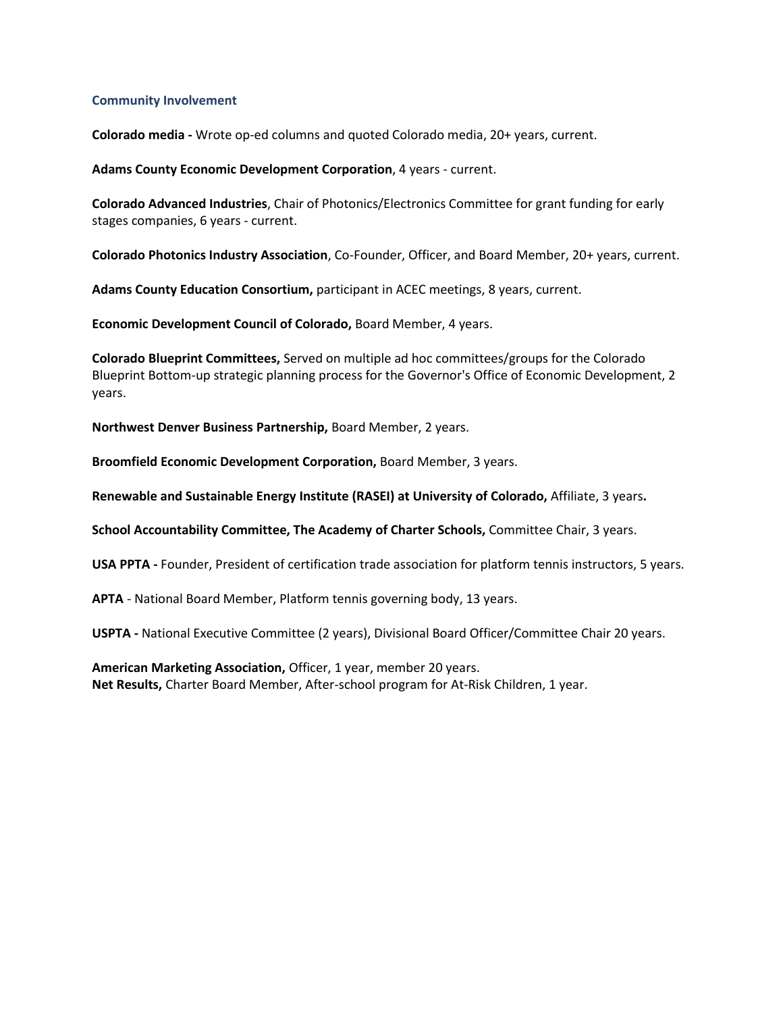#### **Community Involvement**

**Colorado media -** Wrote op-ed columns and quoted Colorado media, 20+ years, current.

**Adams County Economic Development Corporation**, 4 years - current.

**Colorado Advanced Industries**, Chair of Photonics/Electronics Committee for grant funding for early stages companies, 6 years - current.

**Colorado Photonics Industry Association**, Co-Founder, Officer, and Board Member, 20+ years, current.

**Adams County Education Consortium,** participant in ACEC meetings, 8 years, current.

**Economic Development Council of Colorado,** Board Member, 4 years.

**Colorado Blueprint Committees,** Served on multiple ad hoc committees/groups for the Colorado Blueprint Bottom-up strategic planning process for the Governor's Office of Economic Development, 2 years.

**Northwest Denver Business Partnership,** Board Member, 2 years.

**Broomfield Economic Development Corporation,** Board Member, 3 years.

**Renewable and Sustainable Energy Institute (RASEI) at University of Colorado,** Affiliate, 3 years**.**

**School Accountability Committee, The Academy of Charter Schools,** Committee Chair, 3 years.

**USA PPTA -** Founder, President of certification trade association for platform tennis instructors, 5 years.

**APTA** - National Board Member, Platform tennis governing body, 13 years.

**USPTA -** National Executive Committee (2 years), Divisional Board Officer/Committee Chair 20 years.

**American Marketing Association,** Officer, 1 year, member 20 years. **Net Results,** Charter Board Member, After-school program for At-Risk Children, 1 year.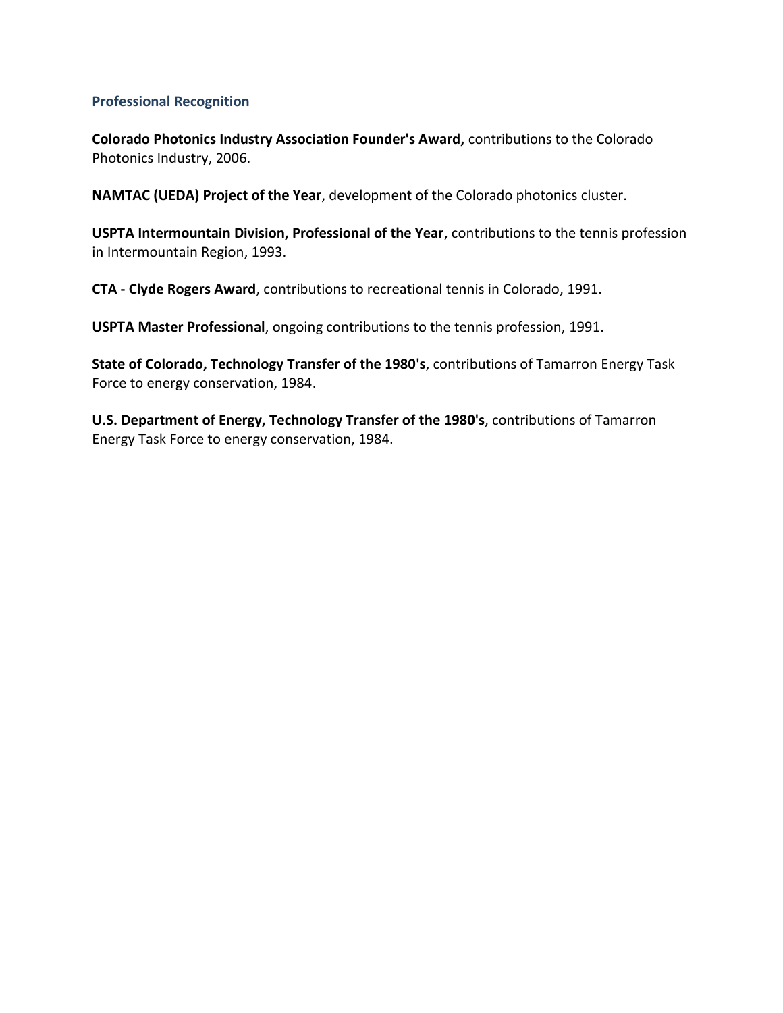## **Professional Recognition**

**Colorado Photonics Industry Association Founder's Award,** contributions to the Colorado Photonics Industry, 2006.

**NAMTAC (UEDA) Project of the Year**, development of the Colorado photonics cluster.

**USPTA Intermountain Division, Professional of the Year**, contributions to the tennis profession in Intermountain Region, 1993.

**CTA - Clyde Rogers Award**, contributions to recreational tennis in Colorado, 1991.

**USPTA Master Professional**, ongoing contributions to the tennis profession, 1991.

**State of Colorado, Technology Transfer of the 1980's**, contributions of Tamarron Energy Task Force to energy conservation, 1984.

**U.S. Department of Energy, Technology Transfer of the 1980's**, contributions of Tamarron Energy Task Force to energy conservation, 1984.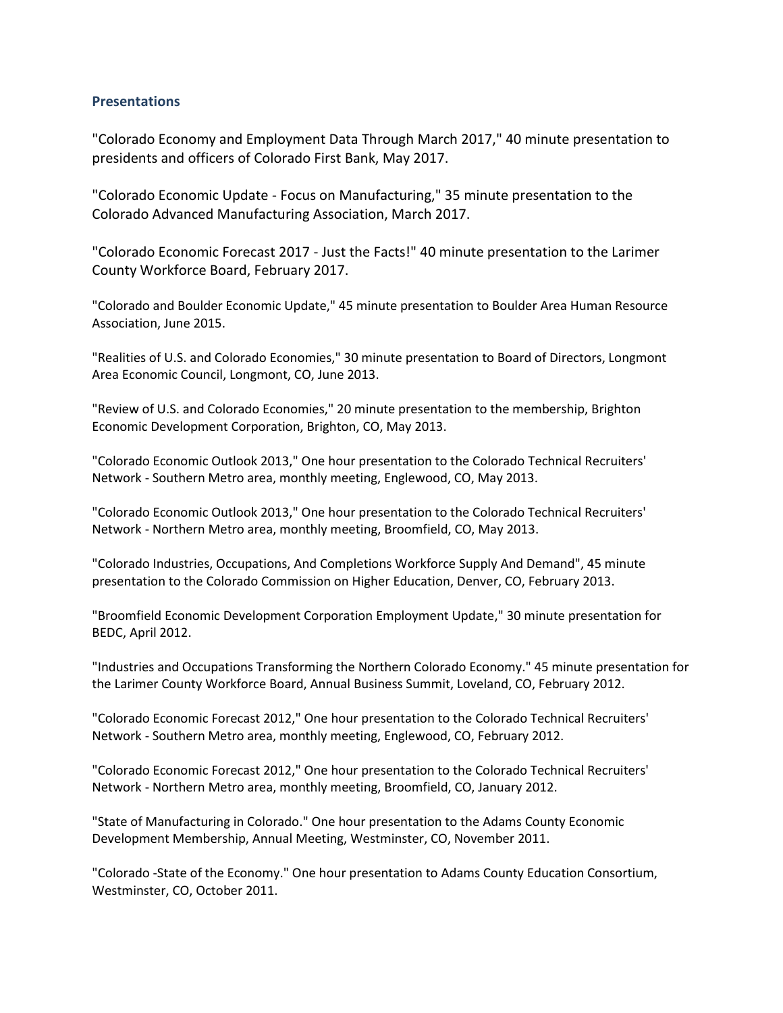## **Presentations**

"Colorado Economy and Employment Data Through March 2017," 40 minute presentation to presidents and officers of Colorado First Bank, May 2017.

"Colorado Economic Update - Focus on Manufacturing," 35 minute presentation to the Colorado Advanced Manufacturing Association, March 2017.

"Colorado Economic Forecast 2017 - Just the Facts!" 40 minute presentation to the Larimer County Workforce Board, February 2017.

"Colorado and Boulder Economic Update," 45 minute presentation to Boulder Area Human Resource Association, June 2015.

"Realities of U.S. and Colorado Economies," 30 minute presentation to Board of Directors, Longmont Area Economic Council, Longmont, CO, June 2013.

"Review of U.S. and Colorado Economies," 20 minute presentation to the membership, Brighton Economic Development Corporation, Brighton, CO, May 2013.

"Colorado Economic Outlook 2013," One hour presentation to the Colorado Technical Recruiters' Network - Southern Metro area, monthly meeting, Englewood, CO, May 2013.

"Colorado Economic Outlook 2013," One hour presentation to the Colorado Technical Recruiters' Network - Northern Metro area, monthly meeting, Broomfield, CO, May 2013.

"Colorado Industries, Occupations, And Completions Workforce Supply And Demand", 45 minute presentation to the Colorado Commission on Higher Education, Denver, CO, February 2013.

"Broomfield Economic Development Corporation Employment Update," 30 minute presentation for BEDC, April 2012.

"Industries and Occupations Transforming the Northern Colorado Economy." 45 minute presentation for the Larimer County Workforce Board, Annual Business Summit, Loveland, CO, February 2012.

"Colorado Economic Forecast 2012," One hour presentation to the Colorado Technical Recruiters' Network - Southern Metro area, monthly meeting, Englewood, CO, February 2012.

"Colorado Economic Forecast 2012," One hour presentation to the Colorado Technical Recruiters' Network - Northern Metro area, monthly meeting, Broomfield, CO, January 2012.

"State of Manufacturing in Colorado." One hour presentation to the Adams County Economic Development Membership, Annual Meeting, Westminster, CO, November 2011.

"Colorado -State of the Economy." One hour presentation to Adams County Education Consortium, Westminster, CO, October 2011.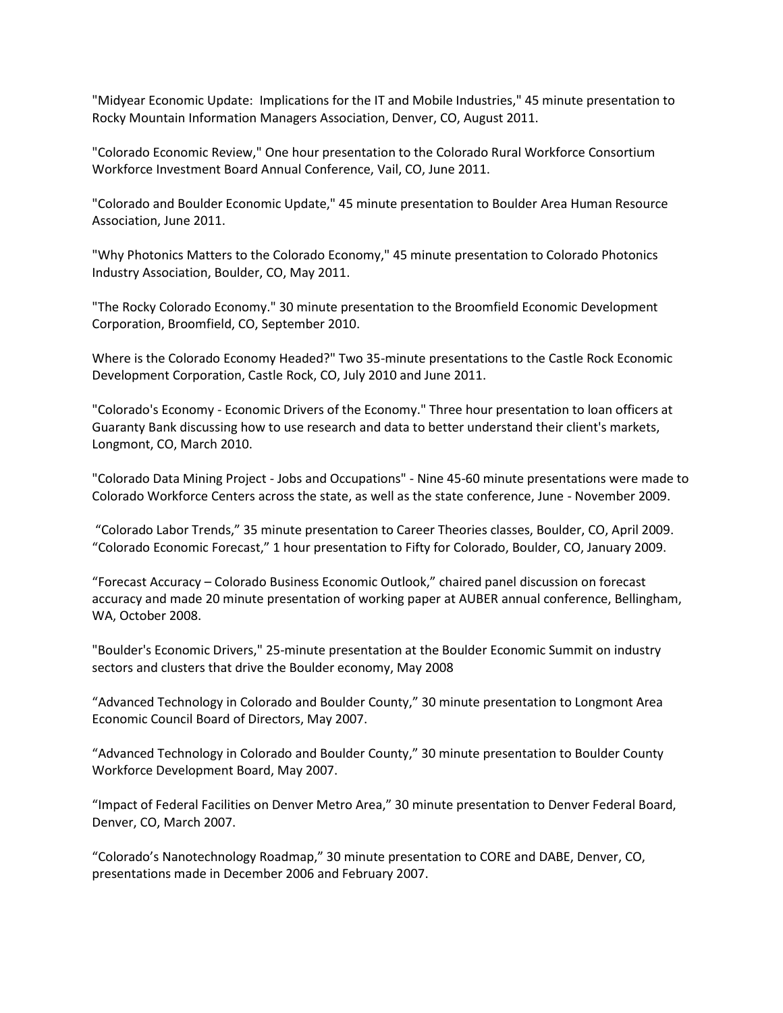"Midyear Economic Update: Implications for the IT and Mobile Industries," 45 minute presentation to Rocky Mountain Information Managers Association, Denver, CO, August 2011.

"Colorado Economic Review," One hour presentation to the Colorado Rural Workforce Consortium Workforce Investment Board Annual Conference, Vail, CO, June 2011.

"Colorado and Boulder Economic Update," 45 minute presentation to Boulder Area Human Resource Association, June 2011.

"Why Photonics Matters to the Colorado Economy," 45 minute presentation to Colorado Photonics Industry Association, Boulder, CO, May 2011.

"The Rocky Colorado Economy." 30 minute presentation to the Broomfield Economic Development Corporation, Broomfield, CO, September 2010.

Where is the Colorado Economy Headed?" Two 35-minute presentations to the Castle Rock Economic Development Corporation, Castle Rock, CO, July 2010 and June 2011.

"Colorado's Economy - Economic Drivers of the Economy." Three hour presentation to loan officers at Guaranty Bank discussing how to use research and data to better understand their client's markets, Longmont, CO, March 2010.

"Colorado Data Mining Project - Jobs and Occupations" - Nine 45-60 minute presentations were made to Colorado Workforce Centers across the state, as well as the state conference, June - November 2009.

"Colorado Labor Trends," 35 minute presentation to Career Theories classes, Boulder, CO, April 2009. "Colorado Economic Forecast," 1 hour presentation to Fifty for Colorado, Boulder, CO, January 2009.

"Forecast Accuracy – Colorado Business Economic Outlook," chaired panel discussion on forecast accuracy and made 20 minute presentation of working paper at AUBER annual conference, Bellingham, WA, October 2008.

"Boulder's Economic Drivers," 25-minute presentation at the Boulder Economic Summit on industry sectors and clusters that drive the Boulder economy, May 2008

"Advanced Technology in Colorado and Boulder County," 30 minute presentation to Longmont Area Economic Council Board of Directors, May 2007.

"Advanced Technology in Colorado and Boulder County," 30 minute presentation to Boulder County Workforce Development Board, May 2007.

"Impact of Federal Facilities on Denver Metro Area," 30 minute presentation to Denver Federal Board, Denver, CO, March 2007.

"Colorado's Nanotechnology Roadmap," 30 minute presentation to CORE and DABE, Denver, CO, presentations made in December 2006 and February 2007.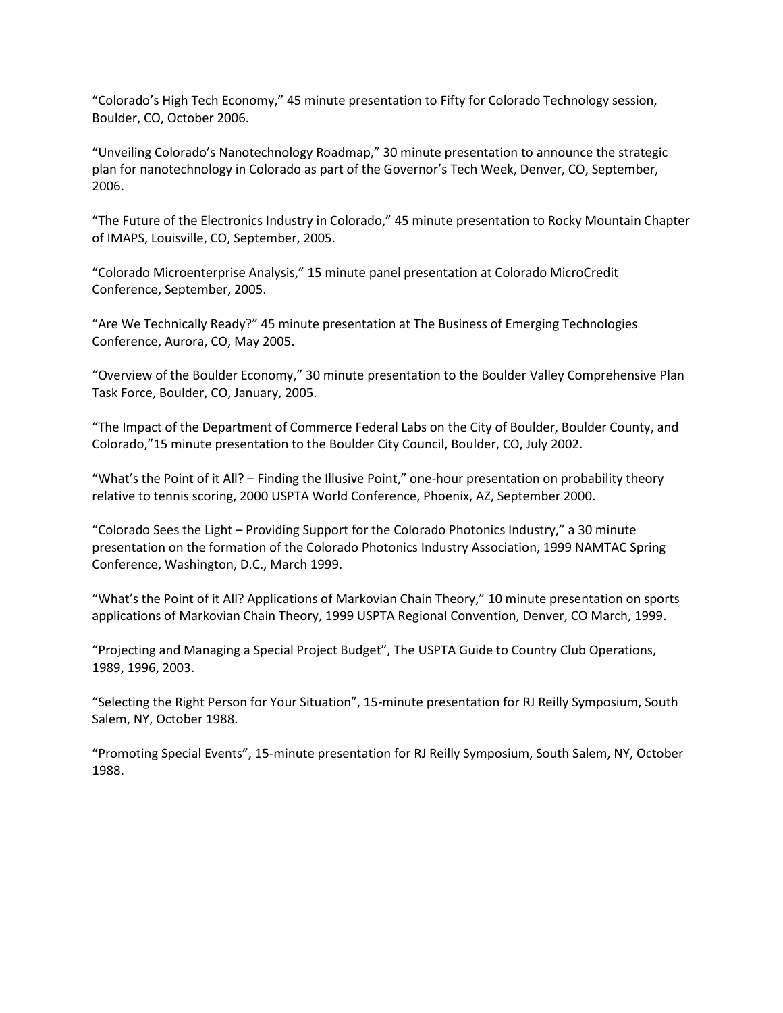"Colorado's High Tech Economy," 45 minute presentation to Fifty for Colorado Technology session, Boulder, CO, October 2006.

"Unveiling Colorado's Nanotechnology Roadmap," 30 minute presentation to announce the strategic plan for nanotechnology in Colorado as part of the Governor's Tech Week, Denver, CO, September, 2006.

"The Future of the Electronics Industry in Colorado," 45 minute presentation to Rocky Mountain Chapter of IMAPS, Louisville, CO, September, 2005.

"Colorado Microenterprise Analysis," 15 minute panel presentation at Colorado MicroCredit Conference, September, 2005.

"Are We Technically Ready?" 45 minute presentation at The Business of Emerging Technologies Conference, Aurora, CO, May 2005.

"Overview of the Boulder Economy," 30 minute presentation to the Boulder Valley Comprehensive Plan Task Force, Boulder, CO, January, 2005.

"The Impact of the Department of Commerce Federal Labs on the City of Boulder, Boulder County, and Colorado,"15 minute presentation to the Boulder City Council, Boulder, CO, July 2002.

"What's the Point of it All? – Finding the Illusive Point," one-hour presentation on probability theory relative to tennis scoring, 2000 USPTA World Conference, Phoenix, AZ, September 2000.

"Colorado Sees the Light – Providing Support for the Colorado Photonics Industry," a 30 minute presentation on the formation of the Colorado Photonics Industry Association, 1999 NAMTAC Spring Conference, Washington, D.C., March 1999.

"What's the Point of it All? Applications of Markovian Chain Theory," 10 minute presentation on sports applications of Markovian Chain Theory, 1999 USPTA Regional Convention, Denver, CO March, 1999.

"Projecting and Managing a Special Project Budget", The USPTA Guide to Country Club Operations, 1989, 1996, 2003.

"Selecting the Right Person for Your Situation", 15-minute presentation for RJ Reilly Symposium, South Salem, NY, October 1988.

"Promoting Special Events", 15-minute presentation for RJ Reilly Symposium, South Salem, NY, October 1988.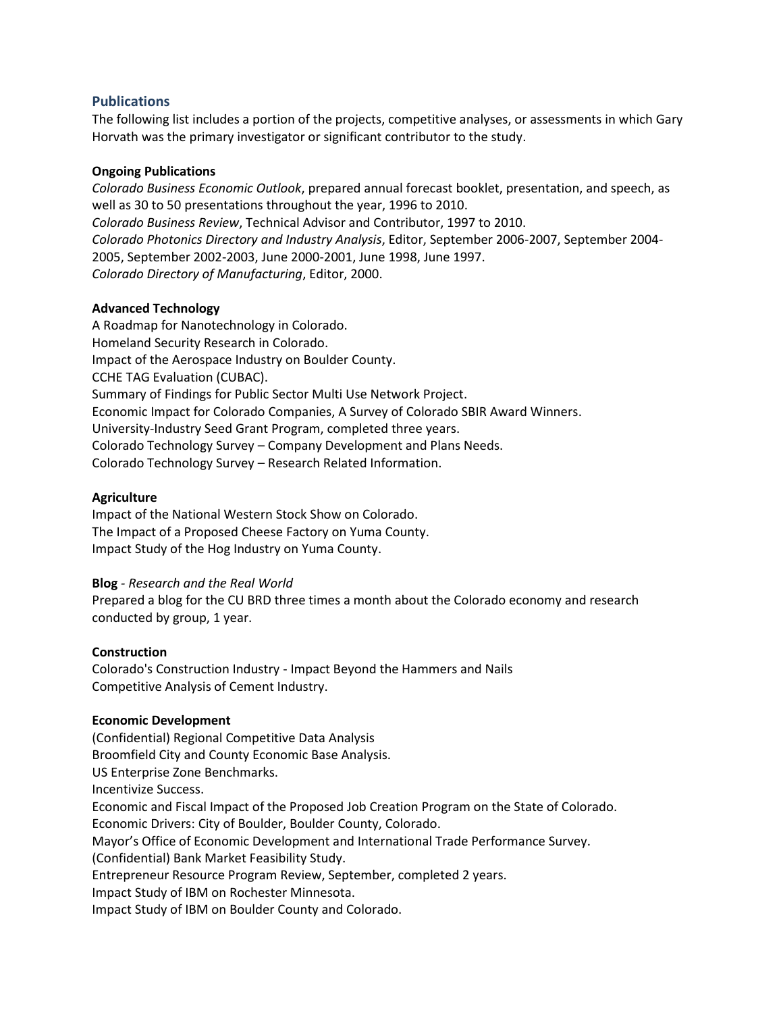## **Publications**

The following list includes a portion of the projects, competitive analyses, or assessments in which Gary Horvath was the primary investigator or significant contributor to the study.

## **Ongoing Publications**

*Colorado Business Economic Outlook*, prepared annual forecast booklet, presentation, and speech, as well as 30 to 50 presentations throughout the year, 1996 to 2010. *Colorado Business Review*, Technical Advisor and Contributor, 1997 to 2010. *Colorado Photonics Directory and Industry Analysis*, Editor, September 2006-2007, September 2004- 2005, September 2002-2003, June 2000-2001, June 1998, June 1997. *Colorado Directory of Manufacturing*, Editor, 2000.

## **Advanced Technology**

A Roadmap for Nanotechnology in Colorado. Homeland Security Research in Colorado. Impact of the Aerospace Industry on Boulder County. CCHE TAG Evaluation (CUBAC). Summary of Findings for Public Sector Multi Use Network Project. Economic Impact for Colorado Companies, A Survey of Colorado SBIR Award Winners. University-Industry Seed Grant Program, completed three years. Colorado Technology Survey – Company Development and Plans Needs. Colorado Technology Survey – Research Related Information.

## **Agriculture**

Impact of the National Western Stock Show on Colorado. The Impact of a Proposed Cheese Factory on Yuma County. Impact Study of the Hog Industry on Yuma County.

## **Blog** *- Research and the Real World*

Prepared a blog for the CU BRD three times a month about the Colorado economy and research conducted by group, 1 year.

## **Construction**

Colorado's Construction Industry - Impact Beyond the Hammers and Nails Competitive Analysis of Cement Industry.

#### **Economic Development**

(Confidential) Regional Competitive Data Analysis Broomfield City and County Economic Base Analysis. US Enterprise Zone Benchmarks. Incentivize Success. Economic and Fiscal Impact of the Proposed Job Creation Program on the State of Colorado. Economic Drivers: City of Boulder, Boulder County, Colorado. Mayor's Office of Economic Development and International Trade Performance Survey. (Confidential) Bank Market Feasibility Study. Entrepreneur Resource Program Review, September, completed 2 years. Impact Study of IBM on Rochester Minnesota. Impact Study of IBM on Boulder County and Colorado.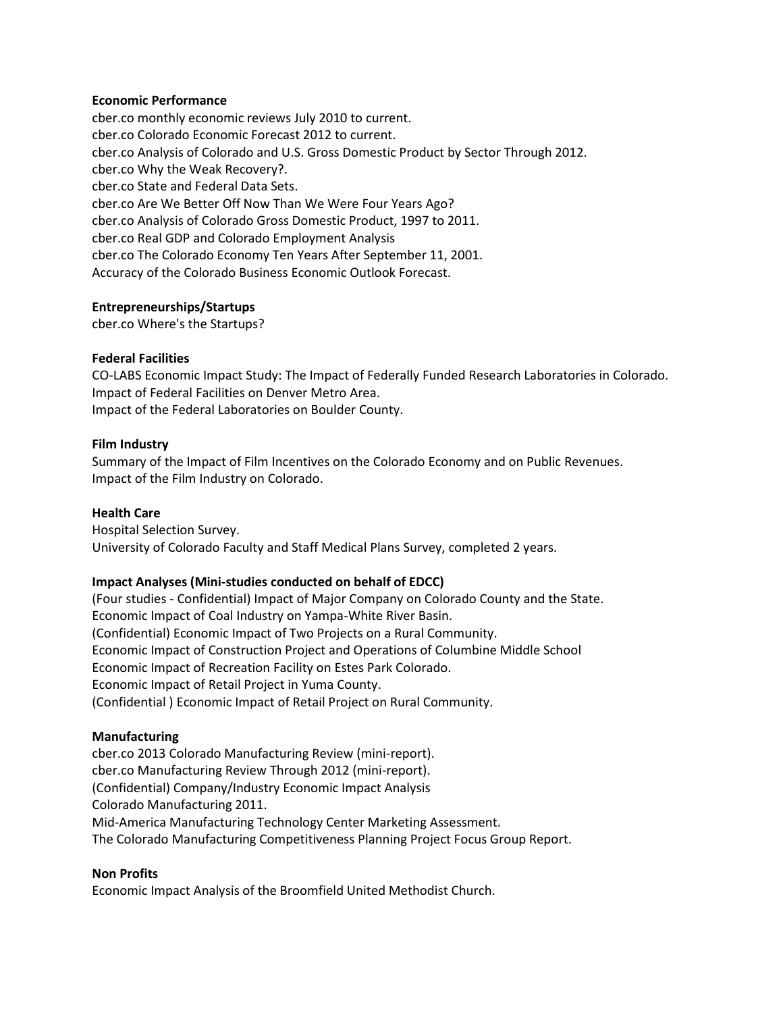#### **Economic Performance**

cber.co monthly economic reviews July 2010 to current. cber.co Colorado Economic Forecast 2012 to current. cber.co Analysis of Colorado and U.S. Gross Domestic Product by Sector Through 2012. cber.co Why the Weak Recovery?. cber.co State and Federal Data Sets. cber.co Are We Better Off Now Than We Were Four Years Ago? cber.co Analysis of Colorado Gross Domestic Product, 1997 to 2011. cber.co Real GDP and Colorado Employment Analysis cber.co The Colorado Economy Ten Years After September 11, 2001. Accuracy of the Colorado Business Economic Outlook Forecast.

#### **Entrepreneurships/Startups**

cber.co Where's the Startups?

#### **Federal Facilities**

CO-LABS Economic Impact Study: The Impact of Federally Funded Research Laboratories in Colorado. Impact of Federal Facilities on Denver Metro Area. Impact of the Federal Laboratories on Boulder County.

#### **Film Industry**

Summary of the Impact of Film Incentives on the Colorado Economy and on Public Revenues. Impact of the Film Industry on Colorado.

### **Health Care**

Hospital Selection Survey. University of Colorado Faculty and Staff Medical Plans Survey, completed 2 years.

## **Impact Analyses (Mini-studies conducted on behalf of EDCC)**

(Four studies - Confidential) Impact of Major Company on Colorado County and the State. Economic Impact of Coal Industry on Yampa-White River Basin. (Confidential) Economic Impact of Two Projects on a Rural Community. Economic Impact of Construction Project and Operations of Columbine Middle School Economic Impact of Recreation Facility on Estes Park Colorado. Economic Impact of Retail Project in Yuma County. (Confidential ) Economic Impact of Retail Project on Rural Community.

## **Manufacturing**

cber.co 2013 Colorado Manufacturing Review (mini-report). cber.co Manufacturing Review Through 2012 (mini-report). (Confidential) Company/Industry Economic Impact Analysis Colorado Manufacturing 2011. Mid-America Manufacturing Technology Center Marketing Assessment. The Colorado Manufacturing Competitiveness Planning Project Focus Group Report.

#### **Non Profits**

Economic Impact Analysis of the Broomfield United Methodist Church.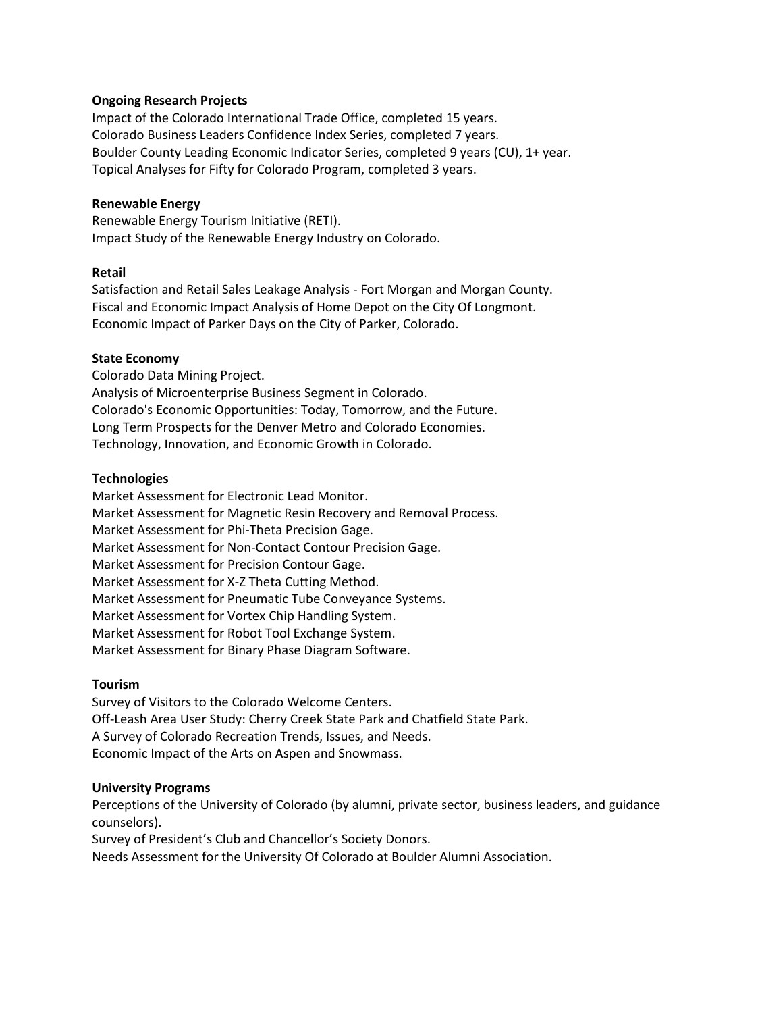### **Ongoing Research Projects**

Impact of the Colorado International Trade Office, completed 15 years. Colorado Business Leaders Confidence Index Series, completed 7 years. Boulder County Leading Economic Indicator Series, completed 9 years (CU), 1+ year. Topical Analyses for Fifty for Colorado Program, completed 3 years.

#### **Renewable Energy**

Renewable Energy Tourism Initiative (RETI). Impact Study of the Renewable Energy Industry on Colorado.

#### **Retail**

Satisfaction and Retail Sales Leakage Analysis - Fort Morgan and Morgan County. Fiscal and Economic Impact Analysis of Home Depot on the City Of Longmont. Economic Impact of Parker Days on the City of Parker, Colorado.

#### **State Economy**

Colorado Data Mining Project. Analysis of Microenterprise Business Segment in Colorado. Colorado's Economic Opportunities: Today, Tomorrow, and the Future. Long Term Prospects for the Denver Metro and Colorado Economies. Technology, Innovation, and Economic Growth in Colorado.

#### **Technologies**

Market Assessment for Electronic Lead Monitor. Market Assessment for Magnetic Resin Recovery and Removal Process. Market Assessment for Phi-Theta Precision Gage. Market Assessment for Non-Contact Contour Precision Gage. Market Assessment for Precision Contour Gage. Market Assessment for X-Z Theta Cutting Method. Market Assessment for Pneumatic Tube Conveyance Systems. Market Assessment for Vortex Chip Handling System. Market Assessment for Robot Tool Exchange System. Market Assessment for Binary Phase Diagram Software.

#### **Tourism**

Survey of Visitors to the Colorado Welcome Centers. Off-Leash Area User Study: Cherry Creek State Park and Chatfield State Park. A Survey of Colorado Recreation Trends, Issues, and Needs. Economic Impact of the Arts on Aspen and Snowmass.

#### **University Programs**

Perceptions of the University of Colorado (by alumni, private sector, business leaders, and guidance counselors).

Survey of President's Club and Chancellor's Society Donors.

Needs Assessment for the University Of Colorado at Boulder Alumni Association.